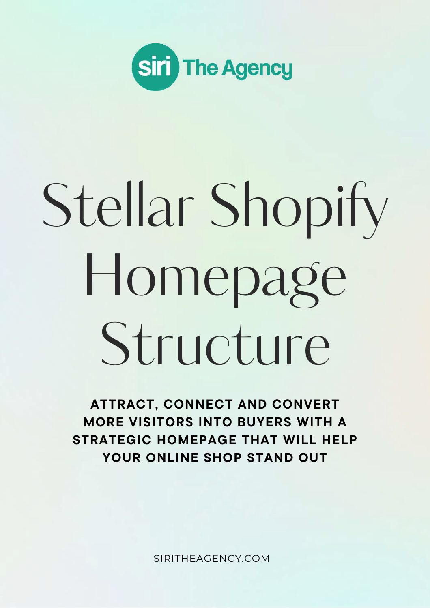

# Stellar Shopify Homepage Structure

ATTRACT, CONNECT AND CONVERT MORE VISITORS INTO BUYERS WITH A STRATEGIC HOMEPAGE THAT WILL HELP YOUR ONLINE SHOP STAND OUT

[SIRITHEAGENCY.COM](https://siritheagency.com/)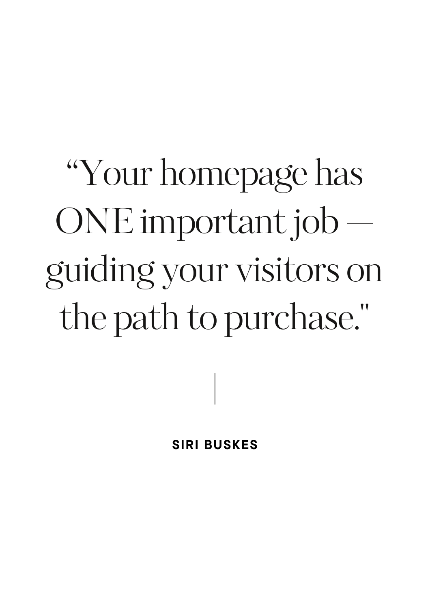"Your homepage has  $ONE$  important job  $$ guiding your visitors on the path to purchase."

**SIRI BUSKES**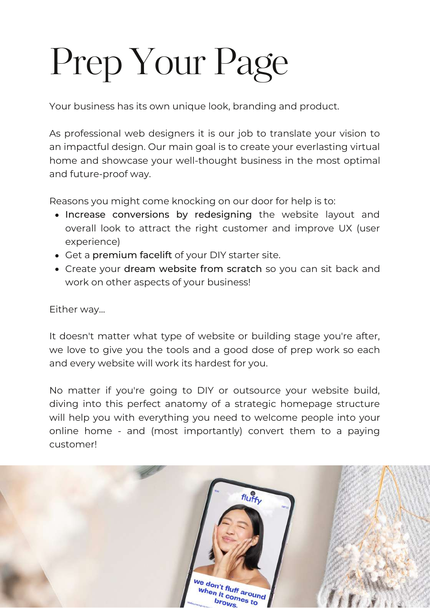## Prep Your Page

Your business has its own unique look, branding and product.

As professional web designers it is our job to translate your vision to an impactful design. Our main goal is to create your everlasting virtual home and showcase your well-thought business in the most optimal and future-proof way.

Reasons you might come knocking on our door for help is to:

- Increase conversions by redesigning the website layout and overall look to attract the right customer and improve UX (user experience)
- Get a premium facelift of your DIY starter site.
- Create your dream website from scratch so you can sit back and work on other aspects of your business!

Either way...

It doesn't matter what type of website or building stage you're after, we love to give you the tools and a good dose of prep work so each and every website will work its hardest for you.

No matter if you're going to DIY or outsource your website build, diving into this perfect anatomy of a strategic homepage structure will help you with everything you need to welcome people into your online home - and (most importantly) convert them to a paying customer!

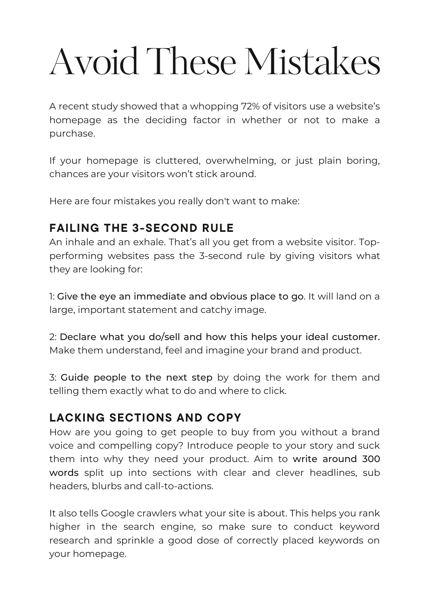## Avoid These Mistakes

A recent study showed that a whopping 72% of visitors use a website's homepage as the deciding factor in whether or not to make a purchase.

If your homepage is cluttered, overwhelming, or just plain boring, chances are your visitors won't stick around.

Here are four mistakes you really don't want to make:

#### FAILING THE 3-SECOND RULE

An inhale and an exhale. That's all you get from a website visitor. Topperforming websites pass the 3-second rule by giving visitors what they are looking for:

1: Give the eye an immediate and obvious place to go. It will land on a large, important statement and catchy image.

2: Declare what you do/sell and how this helps your ideal customer. Make them understand, feel and imagine your brand and product.

3: Guide people to the next step by doing the work for them and telling them exactly what to do and where to click.

#### LACKING SECTIONS AND COPY

How are you going to get people to buy from you without a brand voice and compelling copy? Introduce people to your story and suck them into why they need your product. Aim to write around 300 words split up into sections with clear and clever headlines, sub headers, blurbs and call-to-actions.

It also tells Google crawlers what your site is about. This helps you rank higher in the search engine, so make sure to conduct keyword research and sprinkle a good dose of correctly placed keywords on your homepage.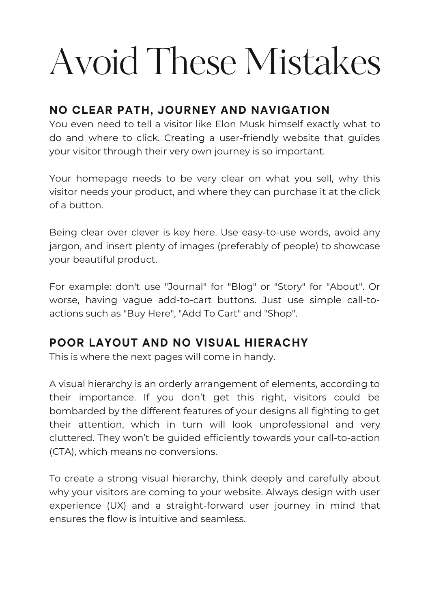## Avoid These Mistakes

#### NO CLEAR PATH, JOURNEY AND NAVIGATION

You even need to tell a visitor like Elon Musk himself exactly what to do and where to click. Creating a user-friendly website that guides your visitor through their very own journey is so important.

Your homepage needs to be very clear on what you sell, why this visitor needs your product, and where they can purchase it at the click of a button.

Being clear over clever is key here. Use easy-to-use words, avoid any jargon, and insert plenty of images (preferably of people) to showcase your beautiful product.

For example: don't use "Journal" for "Blog" or "Story" for "About". Or worse, having vague add-to-cart buttons. Just use simple call-toactions such as "Buy Here", "Add To Cart" and "Shop".

#### POOR LAYOUT AND NO VISUAL HIERACHY

This is where the next pages will come in handy.

A visual hierarchy is an orderly arrangement of elements, according to their importance. If you don't get this right, visitors could be bombarded by the different features of your designs all fighting to get their attention, which in turn will look unprofessional and very cluttered. They won't be guided efficiently towards your call-to-action (CTA), which means no conversions.

To create a strong visual hierarchy, think deeply and carefully about why your visitors are coming to your website. Always design with user experience (UX) and a straight-forward user journey in mind that ensures the flow is intuitive and seamless.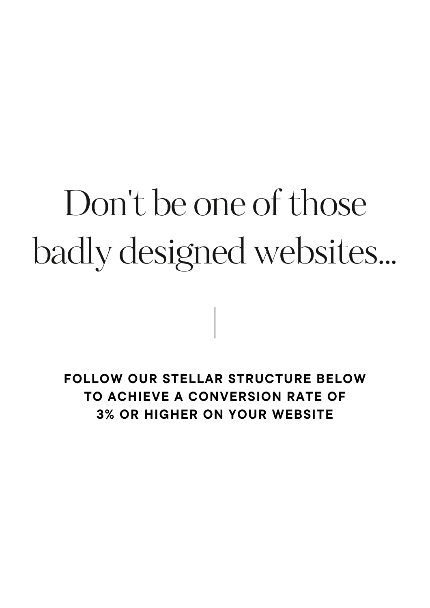## Don't be one of those badly designed websites...

FOLLOW OUR STELLAR STRUCTURE BELOW TO ACHIEVE A CONVERSION RATE OF 3% OR HIGHER ON YOUR WEBSITE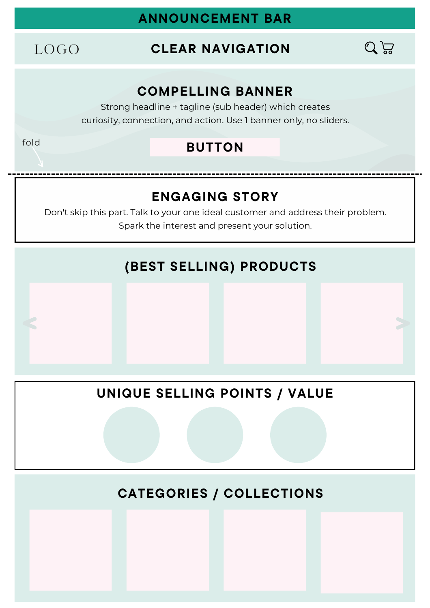#### ANNOUNCEMENT BAR

LOGO

fold

#### CLEAR NAVIGATION



#### COMPELLING BANNER

Strong headline + tagline (sub header) which creates curiosity, connection, and action. Use 1 banner only, no sliders.

#### BUTTON

#### ENGAGING STORY

Don't skip this part. Talk to your one ideal customer and address their problem. Spark the interest and present your solution.

#### (BEST SELLING) PRODUCTS

#### UNIQUE SELLING POINTS / VALUE

CATEGORIES / COLLECTIONS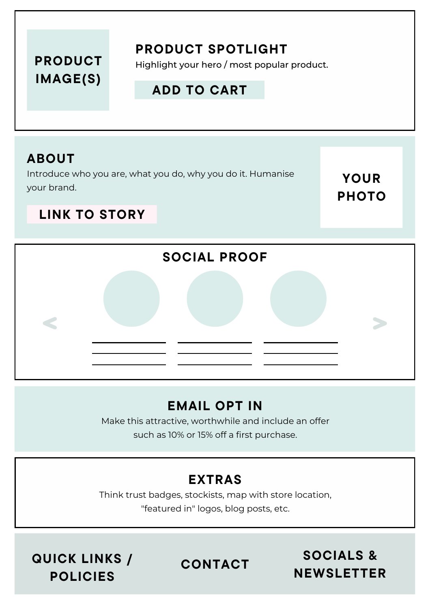#### PRODUCT IMAGE(S)

#### PRODUCT SPOTLIGHT

Highlight your hero / most popular product.

#### ADD TO CART

#### ABOUT

Introduce who you are, what you do, why you do it. Humanise your brand.

YOUR PHOTO

#### LINK TO STORY



#### EMAIL OPT IN

Make this attractive, worthwhile and include an offer such as 10% or 15% off a first purchase.

#### EXTRAS

Think trust badges, stockists, map with store location, "featured in" logos, blog posts, etc.

QUICK LINKS / POLICIES

CONTACT

SOCIALS & NEWSLETTER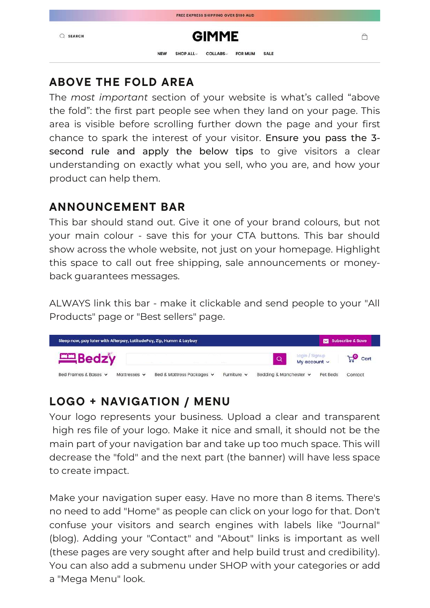|               |            |                 | I HEE EMI HEGG GIIII I ING G FER GIOU MOD |                |             |  |
|---------------|------------|-----------------|-------------------------------------------|----------------|-------------|--|
| <b>SEARCH</b> |            |                 | <b>GIMME</b>                              |                |             |  |
|               | <b>NEW</b> | <b>SHOP ALL</b> | <b>COLLABS</b>                            | <b>FOR MUM</b> | <b>SALE</b> |  |

#### ABOVE THE FOLD AREA

The *most important* section of your website is what's called "above the fold": the first part people see when they land on your page. This area is visible before scrolling further down the page and your first chance to spark the interest of your visitor. Ensure you pass the 3 second rule and apply the below tips to give visitors a clear understanding on exactly what you sell, who you are, and how your product can help them.

#### ANNOUNCEMENT BAR

This bar should stand out. Give it one of your brand colours, but not your main colour - save this for your CTA buttons. This bar should show across the whole website, not just on your homepage. Highlight this space to call out free shipping, sale announcements or moneyback guarantees messages.

ALWAYS link this bar - make it clickable and send people to your "All Products" page or "Best sellers" page.



#### LOGO + NAVIGATION / MENU

Your logo represents your business. Upload a clear and transparent high res file of your logo. Make it nice and small, it should not be the main part of your navigation bar and take up too much space. This will decrease the "fold" and the next part (the banner) will have less space to create impact.

Make your navigation super easy. Have no more than 8 items. There's no need to add "Home" as people can click on your logo for that. Don't confuse your visitors and search engines with labels like "Journal" (blog). Adding your "Contact" and "About" links is important as well (these pages are very sought after and help build trust and credibility). You can also add a submenu under SHOP with your categories or add a "Mega Menu" look.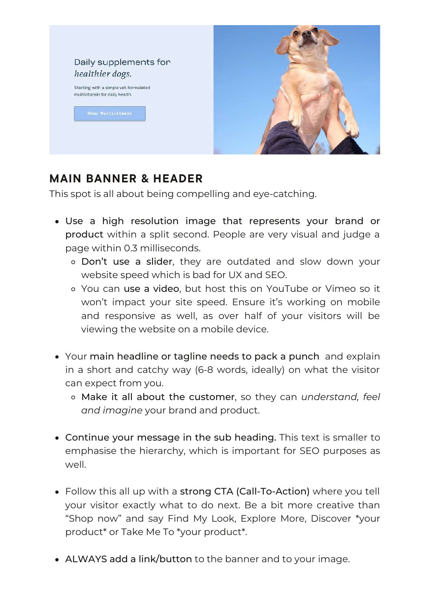

#### MAIN BANNER & HEADER

This spot is all about being compelling and eye-catching.

- Use a high resolution image that represents your brand or product within a split second. People are very visual and judge a page within 0.3 milliseconds.
	- Don't use a slider, they are outdated and slow down your website speed which is bad for UX and SEO.
	- You can use a video, but host this on YouTube or Vimeo so it won't impact your site speed. Ensure it's working on mobile and responsive as well, as over half of your visitors will be viewing the website on a mobile device.
- Your main headline or tagline needs to pack a punch and explain in a short and catchy way (6-8 words, ideally) on what the visitor can expect from you.
	- Make it all about the customer, so they can *understand, feel and imagine* your brand and product.
- Continue your message in the sub heading. This text is smaller to emphasise the hierarchy, which is important for SEO purposes as well.
- Follow this all up with a strong CTA (Call-To-Action) where you tell your visitor exactly what to do next. Be a bit more creative than "Shop now" and say Find My Look, Explore More, Discover \*your product\* or Take Me To \*your product\*.
- ALWAYS add a link/button to the banner and to your image.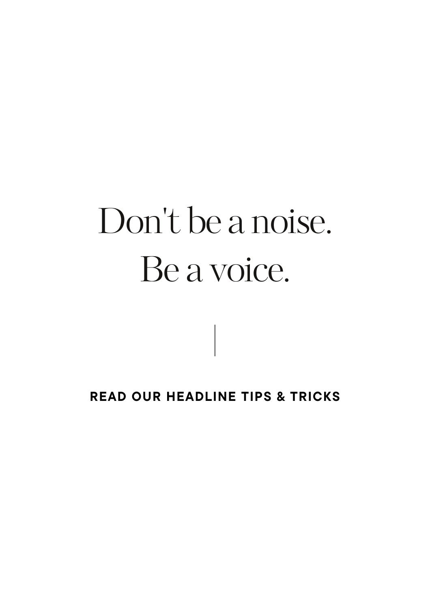### Don 't be a noise. Be a voice.

#### READ OUR HEADLINE TIPS & TRICKS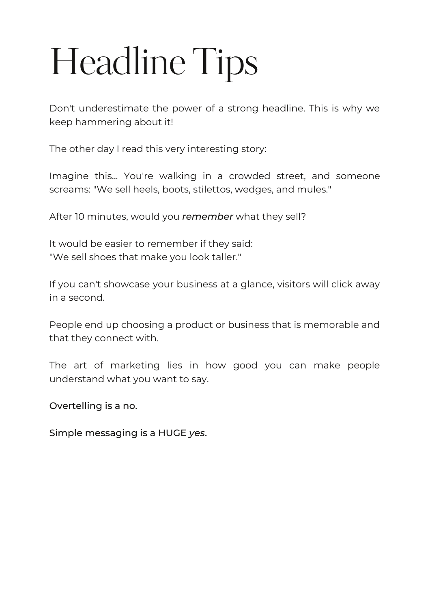## Headline Tips

Don't underestimate the power of a strong headline. This is why we keep hammering about it!

The other day I read this very interesting story:

Imagine this... You're walking in a crowded street, and someone screams: "We sell heels, boots, stilettos, wedges, and mules."

After 10 minutes, would you *remember* what they sell?

It would be easier to remember if they said: "We sell shoes that make you look taller."

If you can't showcase your business at a glance, visitors will click away in a second.

People end up choosing a product or business that is memorable and that they connect with.

The art of marketing lies in how good you can make people understand what you want to say.

Overtelling is a no.

Simple messaging is a HUGE *yes*.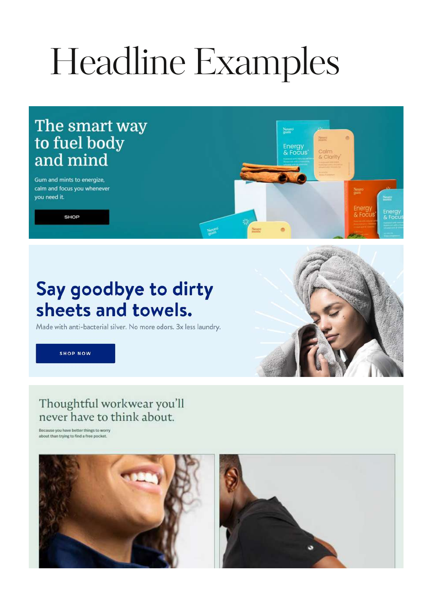## Headline Examples

Neuro

#### The smart way to fuel body and mind

Gum and mints to energize, calm and focus you whenever you need it.

SHOP

### Say goodbye to dirty sheets and towels.

Made with anti-bacterial silver. No more odors. 3x less laundry.

**SHOP NOW** 

#### Thoughtful workwear you'll never have to think about.

Because you have better things to worry about than trying to find a free pocket.



![](_page_12_Picture_10.jpeg)

Neuro<br>jum

Energy<br>& Focus

**Veneco** 

Calm<br>& Clarity

Neuro<br>gum

Energy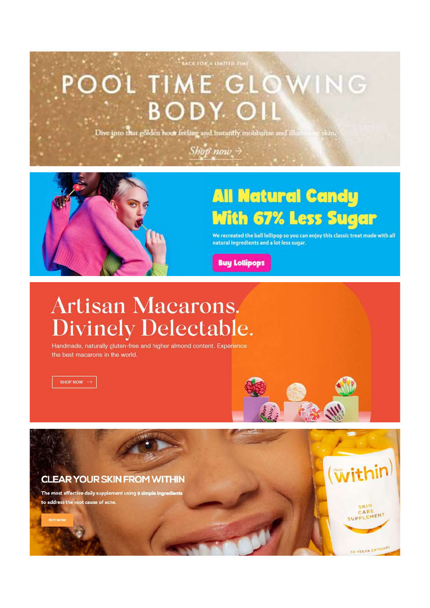### **TACK FOR A UNITED TIME** POOL TIME GLOWING **BODY OIL**

Dive into that golden hour feeling and instantly motsturize and illum

Shop now  $\rightarrow$ 

![](_page_13_Picture_2.jpeg)

### **All Natural Candy With 67% Less Sugar**

We recreated the ball lollipop so you can enjoy this classic treat made with all natural ingredients and a lot less sugar.

十家

(within)

CARE UPPLEMENT

**60 VEGAN CAPSULES** 

**Buy Lollipops** 

### **Artisan Macarons. Divinely Delectable.**

Handmade, naturally gluten-free and higher almond content. Experience the best macarons in the world.

SHOP NOW  $\rightarrow$ 

![](_page_13_Picture_9.jpeg)

to address the root cause of acne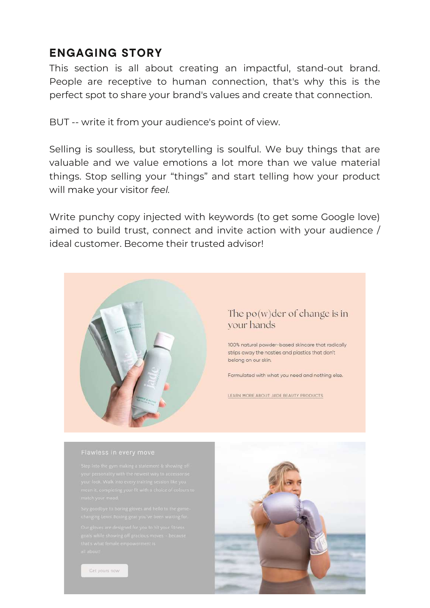#### ENGAGING STORY

This section is all about creating an impactful, stand-out brand. People are receptive to human connection, that's why this is the perfect spot to share your brand's values and create that connection.

BUT -- write it from your audience's point of view.

Selling is soulless, but storytelling is soulful. We buy things that are valuable and we value emotions a lot more than we value material things. Stop selling your "things" and start telling how your product will make your visitor *feel.*

Write punchy copy injected with keywords (to get some Google love) aimed to build trust, connect and invite action with your audience / ideal customer. Become their trusted advisor!

![](_page_14_Picture_5.jpeg)

#### The  $po(w)$ der of change is in your hands

100% natural powder-based skincare that radically strips away the nasties and plastics that don't belong on our skin.

Formulated with what you need and nothing else.

LEARN MORE ABOUT JADE BEAUTY PRODUCTS

![](_page_14_Picture_13.jpeg)

Get yours now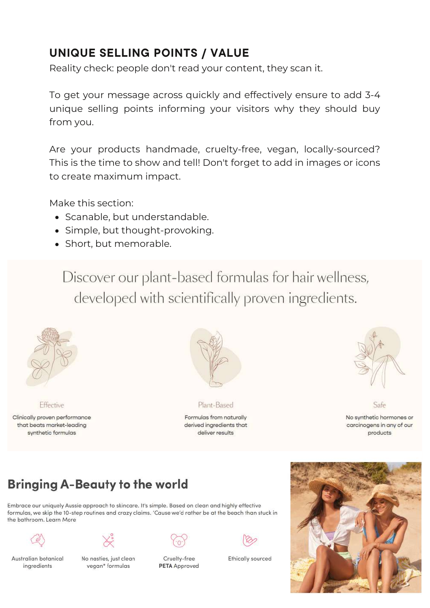#### UNIQUE SELLING POINTS / VALUE

Reality check: people don't read your content, they scan it.

To get your message across quickly and effectively ensure to add 3-4 unique selling points informing your visitors why they should buy from you.

Are your products handmade, cruelty-free, vegan, locally-sourced? This is the time to show and tell! Don't forget to add in images or icons to create maximum impact.

Make this section:

- Scanable, but understandable.
- Simple, but thought-provoking.
- Short, but memorable.

Discover our plant-based formulas for hair wellness, developed with scientifically proven ingredients.

![](_page_15_Picture_9.jpeg)

Effective

Clinically proven performance that beats market-leading synthetic formulas

![](_page_15_Picture_12.jpeg)

Plant-Based

Formulas from naturally derived ingredients that deliver results

![](_page_15_Picture_15.jpeg)

No synthetic hormones or carcinogens in any of our products

Safe

#### **Bringing A-Beauty to the world**

Embrace our uniquely Aussie approach to skincare. It's simple. Based on clean and highly effective formulas, we skip the 10-step routines and crazy claims. 'Cause we'd rather be at the beach than stuck in the bathroom, Learn More

![](_page_15_Figure_19.jpeg)

Australian botanical ingredients

![](_page_15_Picture_21.jpeg)

No nasties, just clean vegan\* formulas

![](_page_15_Picture_23.jpeg)

Cruelty-free

**PETA** Approved

**Ethically sourced** 

![](_page_15_Picture_26.jpeg)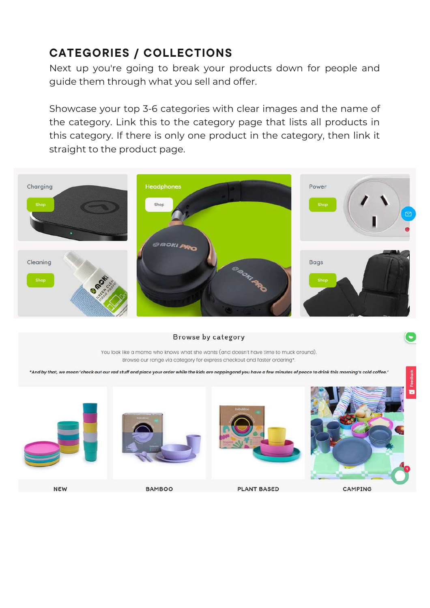#### CATEGORIES / COLLECTIONS

Next up you're going to break your products down for people and guide them through what you sell and offer.

Showcase your top 3-6 categories with clear images and the name of the category. Link this to the category page that lists all products in this category. If there is only one product in the category, then link it straight to the product page.

![](_page_16_Picture_3.jpeg)

Browse by category

You look like a mama who knows what she wants (and doesn't have time to muck around). Browse our range via category for express checkout and faster ordering\*.

\*And by that, we mean 'check out our rad stuff and place your order while the kids are nappingand you have a few minutes of peace to drink this morning's cold coffee.'

![](_page_16_Picture_7.jpeg)

**NEW** 

**BAMBOO** 

**PLANT BASED**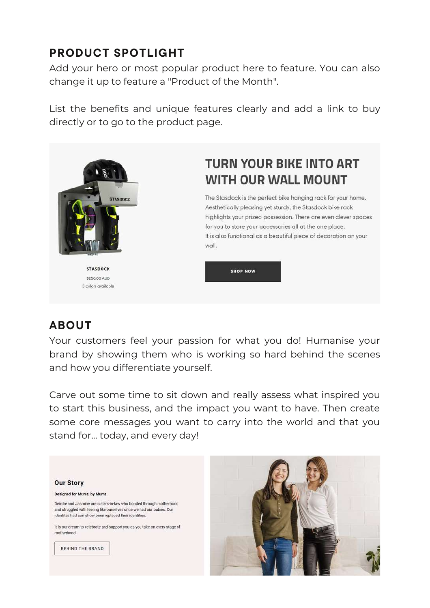#### PRODUCT SPOTLIGHT

Add your hero or most popular product here to feature. You can also change it up to feature a "Product of the Month".

List the benefits and unique features clearly and add a link to buy directly or to go to the product page.

![](_page_17_Picture_3.jpeg)

**STASDOCK** \$250,00 AUD 3 colors available

#### **TURN YOUR BIKE INTO ART WITH OUR WALL MOUNT**

The Stasdock is the perfect bike hanging rack for your home. Aesthetically pleasing yet sturdy, the Stasdock bike rack highlights your prized possession. There are even clever spaces for you to store your accessories all at the one place. It is also functional as a beautiful piece of decoration on your wall.

**SHOP NOW** 

#### ABOUT

Your customers feel your passion for what you do! Humanise your brand by showing them who is working so hard behind the scenes and how you differentiate yourself.

Carve out some time to sit down and really assess what inspired you to start this business, and the impact you want to have. Then create some core messages you want to carry into the world and that you stand for... today, and every day!

![](_page_17_Picture_11.jpeg)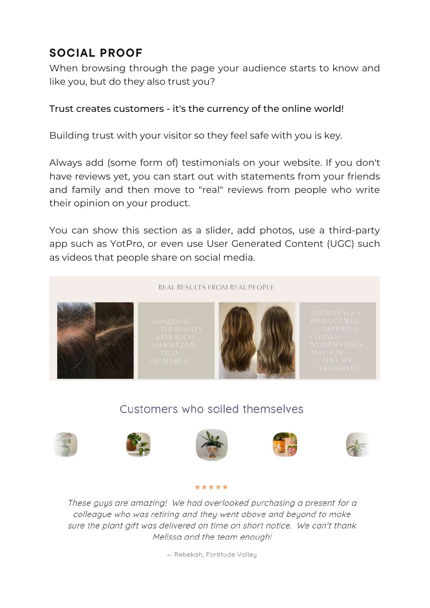#### SOCIAL PROOF

When browsing through the page your audience starts to know and like you, but do they also trust you?

#### Trust creates customers - it's the currency of the online world!

Building trust with your visitor so they feel safe with you is key.

Always add (some form of) testimonials on your website. If you don't have reviews yet, you can start out with statements from your friends and family and then move to "real" reviews from people who write their opinion on your product.

You can show this section as a slider, add photos, use a third-party app such as YotPro, or even use User Generated Content (UGC) such as videos that people share on social media.

![](_page_18_Picture_6.jpeg)

#### Customers who soiled themselves

![](_page_18_Picture_8.jpeg)

![](_page_18_Picture_9.jpeg)

![](_page_18_Picture_10.jpeg)

![](_page_18_Picture_11.jpeg)

![](_page_18_Picture_12.jpeg)

These guys are amazing! We had overlooked purchasing a present for a colleague who was retiring and they went above and beyond to make sure the plant gift was delivered on time on short notice. We can't thank Melissa and the team enough!

\*\*\*\*\*

- Rebekah, Fortitude Valley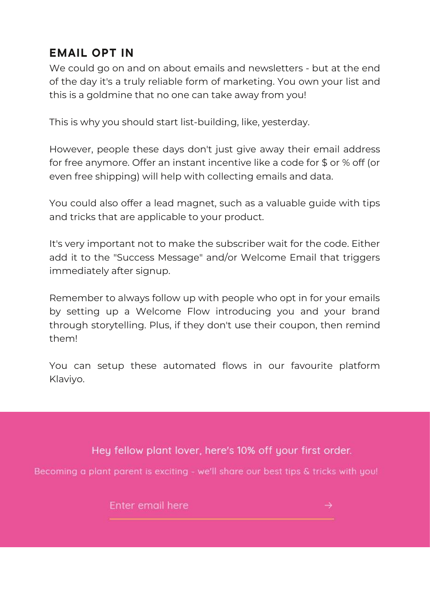#### EMAIL OPT IN

We could go on and on about emails and newsletters - but at the end of the day it's a truly reliable form of marketing. You own your list and this is a goldmine that no one can take away from you!

This is why you should start list-building, like, yesterday.

However, people these days don't just give away their email address for free anymore. Offer an instant incentive like a code for \$ or % off (or even free shipping) will help with collecting emails and data.

You could also offer a lead magnet, such as a valuable guide with tips and tricks that are applicable to your product.

It's very important not to make the subscriber wait for the code. Either add it to the "Success Message" and/or Welcome Email that triggers immediately after signup.

Remember to always follow up with people who opt in for your emails by setting up a Welcome Flow introducing you and your brand through storytelling. Plus, if they don't use their coupon, then remind them!

You can setup these automated flows in our favourite platform Klaviyo.

Hey fellow plant lover, here's 10% off your first order.

Becoming a plant parent is exciting - we'll share our best tips & tricks with you!

Enter email here

![](_page_19_Picture_11.jpeg)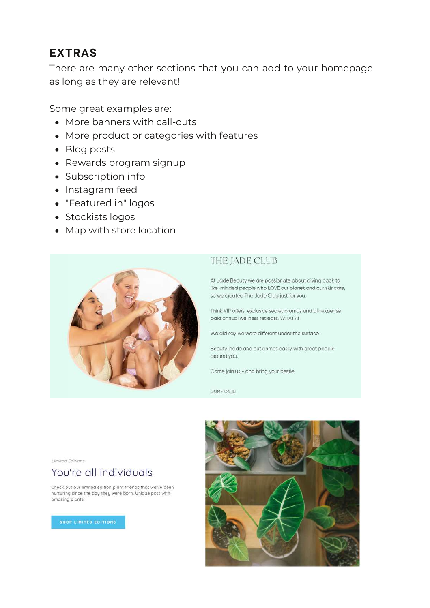#### EXTRAS

There are many other sections that you can add to your homepage as long as they are relevant!

Some great examples are:

- More banners with call-outs
- More product or categories with features
- Blog posts
- Rewards program signup
- Subscription info
- Instagram feed
- "Featured in" logos
- Stockists logos
- Map with store location

![](_page_20_Picture_12.jpeg)

#### THE JADE CLUB

At Jade Beauty we are passionate about giving back to like-minded people who LOVE our planet and our skincare, so we created The Jade Club just for you.

Think VIP offers, exclusive secret promos and all-expense paid annual wellness retreats. WHAT?!!

We did say we were different under the surface.

Beauty inside and out comes easily with great people around you.

Come join us - and bring your bestie.

COME ON IN

![](_page_20_Picture_20.jpeg)

#### You're all individuals

Check out our limited edition plant friends that we've been nurturing since the day they were born. Unique pots with amazing plants!

![](_page_20_Picture_24.jpeg)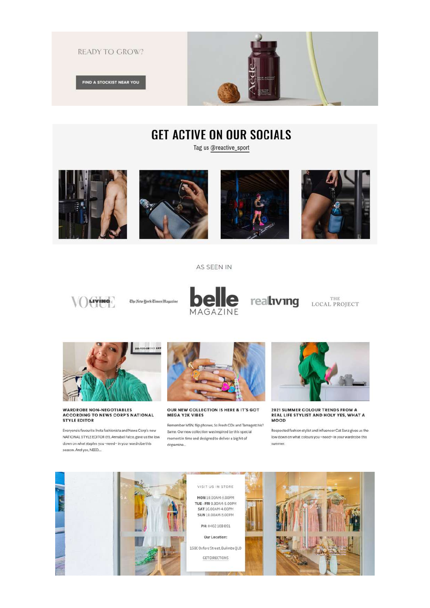![](_page_21_Picture_0.jpeg)

#### **GET ACTIVE ON OUR SOCIALS**

Tag us @reactive\_sport

![](_page_21_Picture_3.jpeg)

![](_page_21_Picture_4.jpeg)

![](_page_21_Picture_5.jpeg)

![](_page_21_Picture_6.jpeg)

#### AS SEEN IN

![](_page_21_Picture_8.jpeg)

Ehe New York Times Magazine

![](_page_21_Picture_10.jpeg)

realiving LOCAL PROJECT

![](_page_21_Picture_12.jpeg)

![](_page_21_Picture_13.jpeg)

#### **WARDROBE NON-NEGOTIABLES ACCORDING TO NEWS CORP'S NATIONAL STYLE EDITOR**

Everyone's favourite Insta fashionista and News Corp's new NATIONAL STYLE EDITOR (!!!), Annabel Falco, gave us the low down on what staples you ~need~ in your wardrobe this season. And yes, NEED....

![](_page_21_Picture_16.jpeg)

**OUR NEW COLLECTION IS HERE & IT'S GOT MEGA Y2K VIBES** 

Remember MSN, flip phones, So Fresh CDs and Tamagotchis? Same. Our new collection was inspired by this special moment in time and designed to deliver a big hit of dopamine...

![](_page_21_Picture_19.jpeg)

2021 SUMMER COLOUR TRENDS FROM A REAL LIFE STYLIST AND HOLY YES, WHAT A **MOOD** 

Respected fashion stylist and influencer Cat Sanz gives us the low down on what colours you ~need~ in your wardrobe this summer.

![](_page_21_Picture_22.jpeg)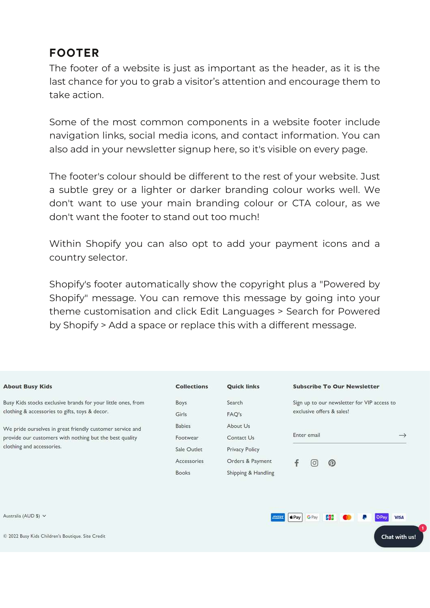#### FOOTER

The footer of a website is just as important as the header, as it is the last chance for you to grab a visitor's attention and encourage them to take action.

Some of the most common components in a website footer include navigation links, social media icons, and contact information. You can also add in your newsletter signup here, so it's visible on every page.

The footer's colour should be different to the rest of your website. Just a subtle grey or a lighter or darker branding colour works well. We don't want to use your main branding colour or CTA colour, as we don't want the footer to stand out too much!

Within Shopify you can also opt to add your payment icons and a country selector.

Shopify's footer automatically show the copyright plus a "Powered by Shopify" message. You can remove this message by going into your theme customisation and click Edit Languages > Search for Powered by Shopify > Add a space or replace this with a different message.

| <b>About Busy Kids</b>                                                                                                                            | <b>Collections</b>                                                      | <b>Quick links</b>                                                                  | <b>Subscribe To Our Newsletter</b>                                       |               |
|---------------------------------------------------------------------------------------------------------------------------------------------------|-------------------------------------------------------------------------|-------------------------------------------------------------------------------------|--------------------------------------------------------------------------|---------------|
| Busy Kids stocks exclusive brands for your little ones, from<br>clothing & accessories to gifts, toys & decor.                                    | Boys<br>Girls                                                           | Search<br>FAQ's                                                                     | Sign up to our newsletter for VIP access to<br>exclusive offers & sales! |               |
| We pride ourselves in great friendly customer service and<br>provide our customers with nothing but the best quality<br>clothing and accessories. | <b>Babies</b><br>Footwear<br>Sale Outlet<br>Accessories<br><b>Books</b> | About Us<br>Contact Us<br>Privacy Policy<br>Orders & Payment<br>Shipping & Handling | Enter email<br>ၐ<br>$\left[ \circ \right]$                               | $\rightarrow$ |
| Australia (AUD \$) V                                                                                                                              |                                                                         |                                                                                     | $E$ Pay<br><b>G</b> Pay<br>UC)                                           | <b>VISA</b>   |

Chat with us!

© 2022 Busy Kids Children's Boutique. Site Credit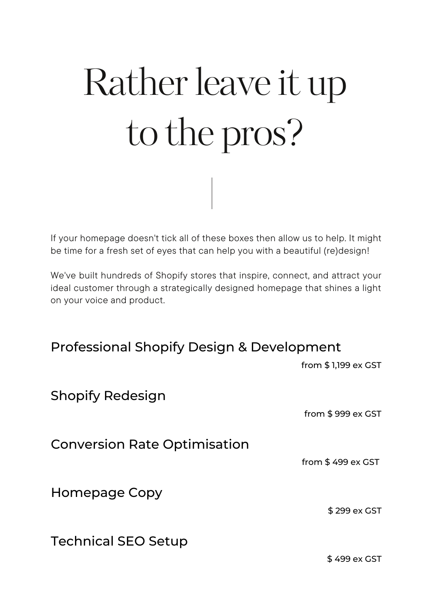# Rather leave it up to the pros?

If your homepage doesn't tick all of these boxes then allow us to help. It might be time for a fresh set of eyes that can help you with a beautiful (re)design!

We've built hundreds of Shopify stores that inspire, connect, and attract your ideal customer through a strategically designed homepage that shines a light on your voice and product.

|  |  |  | <b>Professional Shopify Design &amp; Development</b> |
|--|--|--|------------------------------------------------------|
|--|--|--|------------------------------------------------------|

|                                     | from \$1,199 ex GST |
|-------------------------------------|---------------------|
| Shopify Redesign                    |                     |
|                                     | from $$999 ex GST$  |
| <b>Conversion Rate Optimisation</b> |                     |
|                                     | from $$499 ex GST$  |
| Homepage Copy                       |                     |
|                                     | \$299 ex GST        |
| Technical SEO Setup                 |                     |

\$ 499 ex GST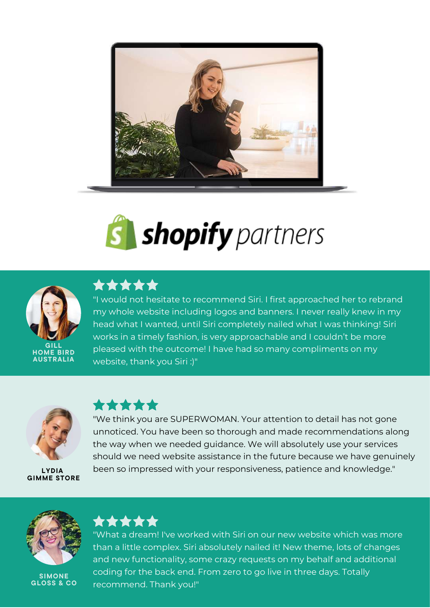![](_page_24_Picture_0.jpeg)

![](_page_24_Picture_1.jpeg)

![](_page_24_Picture_2.jpeg)

#### \*\*\*\*\*

"I would not hesitate to recommend Siri. I first approached her to rebrand my whole website including logos and banners. I never really knew in my head what I wanted, until Siri completely nailed what I was thinking! Siri works in a timely fashion, is very approachable and I couldn't be more pleased with the outcome! I have had so many compliments on my website, thank you Siri :)"

![](_page_24_Picture_5.jpeg)

LYDIA GIMME STORE

#### \*\*\*\*\*

"We think you are SUPERWOMAN. Your attention to detail has not gone unnoticed. You have been so thorough and made recommendations along the way when we needed guidance. We will absolutely use your services should we need website assistance in the future because we have genuinely been so impressed with your responsiveness, patience and knowledge."

![](_page_24_Picture_9.jpeg)

**SIMONE** GLOSS & CO

![](_page_24_Picture_11.jpeg)

"What a dream! I've worked with Siri on our new website which was more than a little complex. Siri absolutely nailed it! New theme, lots of changes and new functionality, some crazy requests on my behalf and additional coding for the back end. From zero to go live in three days. Totally recommend. Thank you!"